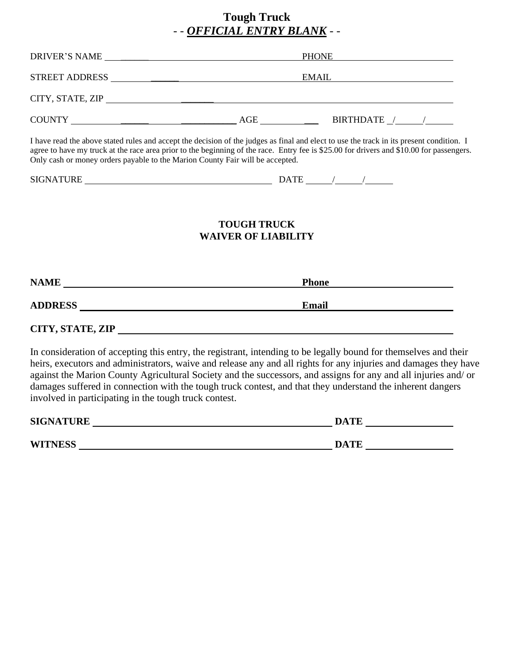# **Tough Truck**  - - *OFFICIAL ENTRY BLANK* - -

| <b>DRIVER'S NAME</b><br><u> 1980 - Jan Stein, amerikansk politiker (</u> | <b>PHONE</b>                       |  |  |
|--------------------------------------------------------------------------|------------------------------------|--|--|
| <b>STREET ADDRESS</b>                                                    | <b>EMAIL</b>                       |  |  |
| CITY, STATE, ZIP                                                         |                                    |  |  |
| <b>COUNTY</b>                                                            | BIRTHDATE<br>AGE<br>$\overline{1}$ |  |  |

I have read the above stated rules and accept the decision of the judges as final and elect to use the track in its present condition. I agree to have my truck at the race area prior to the beginning of the race. Entry fee is \$25.00 for drivers and \$10.00 for passengers. Only cash or money orders payable to the Marion County Fair will be accepted.

| CTC<br>IDE<br>. IN<br>Ы<br>_<br>в.<br>ىتىد<br>-<br>--<br>$   -$ | יי<br>$\lambda$ |  |
|-----------------------------------------------------------------|-----------------|--|
|                                                                 |                 |  |

### **TOUGH TRUCK WAIVER OF LIABILITY**

| <b>NAME</b>      | <b>Phone</b> |
|------------------|--------------|
| <b>ADDRESS</b>   | Email        |
| CITY, STATE, ZIP |              |

In consideration of accepting this entry, the registrant, intending to be legally bound for themselves and their heirs, executors and administrators, waive and release any and all rights for any injuries and damages they have against the Marion County Agricultural Society and the successors, and assigns for any and all injuries and/ or damages suffered in connection with the tough truck contest, and that they understand the inherent dangers involved in participating in the tough truck contest.

| <b>SIGNATURE</b> | <b>DATE</b> |
|------------------|-------------|
| <b>WITNESS</b>   | <b>DATE</b> |